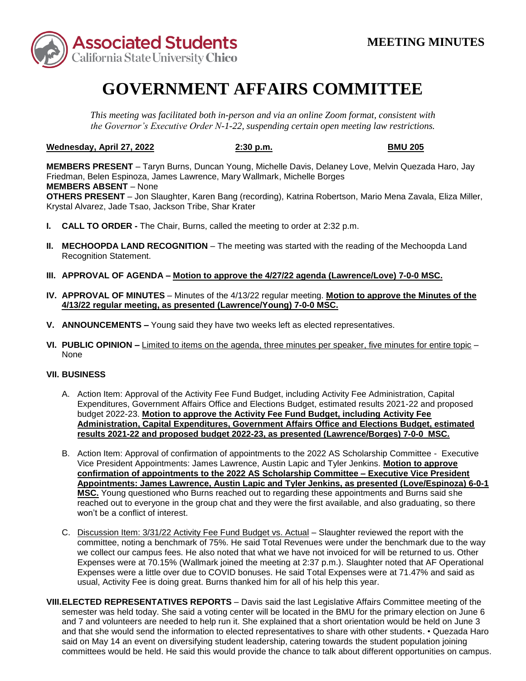

## **GOVERNMENT AFFAIRS COMMITTEE**

*This meeting was facilitated both in-person and via an online Zoom format, consistent with the Governor's Executive Order N-1-22, suspending certain open meeting law restrictions.* 

## **Wednesday, April 27, 2022 2:30 p.m. BMU 205**

 Friedman, Belen Espinoza, James Lawrence, Mary Wallmark, Michelle Borges  **MEMBERS ABSENT** – None **MEMBERS PRESENT** – Taryn Burns, Duncan Young, Michelle Davis, Delaney Love, Melvin Quezada Haro, Jay **OTHERS PRESENT** – Jon Slaughter, Karen Bang (recording), Katrina Robertson, Mario Mena Zavala, Eliza Miller, Krystal Alvarez, Jade Tsao, Jackson Tribe, Shar Krater

- **I. CALL TO ORDER -** The Chair, Burns, called the meeting to order at 2:32 p.m.
- **II. MECHOOPDA LAND RECOGNITION** The meeting was started with the reading of the Mechoopda Land Recognition Statement.
- **III. APPROVAL OF AGENDA – Motion to approve the 4/27/22 agenda (Lawrence/Love) 7-0-0 MSC.**
- **IV. APPROVAL OF MINUTES**  Minutes of the 4/13/22 regular meeting. **Motion to approve the Minutes of the 4/13/22 regular meeting, as presented (Lawrence/Young) 7-0-0 MSC.**
- **V. ANNOUNCEMENTS –** Young said they have two weeks left as elected representatives.
- **VI. PUBLIC OPINION –** Limited to items on the agenda, three minutes per speaker, five minutes for entire topic None

## **VII. BUSINESS**

- **results 2021-22 and proposed budget 2022-23, as presented (Lawrence/Borges) 7-0-0 MSC.**  A. Action Item: Approval of the Activity Fee Fund Budget, including Activity Fee Administration, Capital Expenditures, Government Affairs Office and Elections Budget, estimated results 2021-22 and proposed budget 2022-23. **Motion to approve the Activity Fee Fund Budget, including Activity Fee Administration, Capital Expenditures, Government Affairs Office and Elections Budget, estimated**
- B. Action Item: Approval of confirmation of appointments to the 2022 AS Scholarship Committee Executive  **confirmation of appointments to the 2022 AS Scholarship Committee – Executive Vice President**  Vice President Appointments: James Lawrence, Austin Lapic and Tyler Jenkins. **Motion to approve Appointments: James Lawrence, Austin Lapic and Tyler Jenkins, as presented (Love/Espinoza) 6-0-1 MSC.** Young questioned who Burns reached out to regarding these appointments and Burns said she reached out to everyone in the group chat and they were the first available, and also graduating, so there won't be a conflict of interest.
- committee, noting a benchmark of 75%. He said Total Revenues were under the benchmark due to the way usual, Activity Fee is doing great. Burns thanked him for all of his help this year. C. Discussion Item: 3/31/22 Activity Fee Fund Budget vs. Actual – Slaughter reviewed the report with the we collect our campus fees. He also noted that what we have not invoiced for will be returned to us. Other Expenses were at 70.15% (Wallmark joined the meeting at 2:37 p.m.). Slaughter noted that AF Operational Expenses were a little over due to COVID bonuses. He said Total Expenses were at 71.47% and said as
- semester was held today. She said a voting center will be located in the BMU for the primary election on June 6 **VIII.ELECTED REPRESENTATIVES REPORTS** – Davis said the last Legislative Affairs Committee meeting of the and 7 and volunteers are needed to help run it. She explained that a short orientation would be held on June 3 and that she would send the information to elected representatives to share with other students. • Quezada Haro said on May 14 an event on diversifying student leadership, catering towards the student population joining committees would be held. He said this would provide the chance to talk about different opportunities on campus.